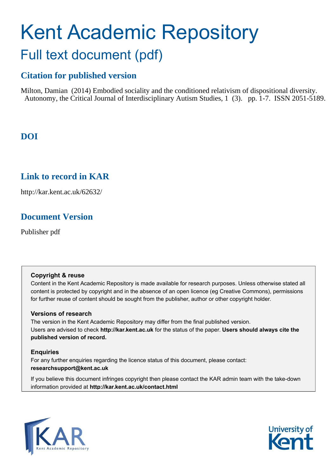# Kent Academic Repository Full text document (pdf)

### **Citation for published version**

Milton, Damian (2014) Embodied sociality and the conditioned relativism of dispositional diversity. Autonomy, the Critical Journal of Interdisciplinary Autism Studies, 1 (3). pp. 1-7. ISSN 2051-5189.

### **DOI**

### **Link to record in KAR**

http://kar.kent.ac.uk/62632/

### **Document Version**

Publisher pdf

### **Copyright & reuse**

Content in the Kent Academic Repository is made available for research purposes. Unless otherwise stated all content is protected by copyright and in the absence of an open licence (eg Creative Commons), permissions for further reuse of content should be sought from the publisher, author or other copyright holder.

### **Versions of research**

The version in the Kent Academic Repository may differ from the final published version. Users are advised to check **http://kar.kent.ac.uk** for the status of the paper. **Users should always cite the published version of record.**

### **Enquiries**

For any further enquiries regarding the licence status of this document, please contact: **researchsupport@kent.ac.uk**

If you believe this document infringes copyright then please contact the KAR admin team with the take-down information provided at **http://kar.kent.ac.uk/contact.html**



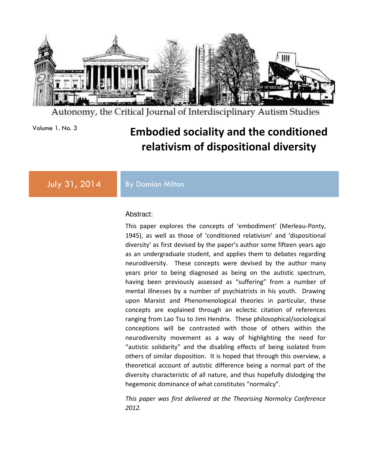

Autonomy, the Critical Journal of Interdisciplinary Autism Studies

## Volume 1. No. 3 **Embodied sociality and the conditioned relativism of dispositional diversity**

July 31, 2014 By Damian Milton

#### Abstract:

This paper explores the concepts of 'embodiment' (Merleau-Ponty, 1945), as well as those of 'conditioned relativism' and 'dispositional diversity' as first devised by the paper's author some fifteen years ago as an undergraduate student, and applies them to debates regarding neurodiversity. These concepts were devised by the author many years prior to being diagnosed as being on the autistic spectrum, having been previously assessed as "suffering" from a number of mental illnesses by a number of psychiatrists in his youth. Drawing upon Marxist and Phenomenological theories in particular, these concepts are explained through an eclectic citation of references ranging from Lao Tsu to Jimi Hendrix. These philosophical/sociological conceptions will be contrasted with those of others within the neurodiversity movement as a way of highlighting the need for "autistic solidarity" and the disabling effects of being isolated from others of similar disposition. It is hoped that through this overview, a theoretical account of autistic difference being a normal part of the diversity characteristic of all nature, and thus hopefully dislodging the hegemonic dominance of what constitutes "normalcy".

*This paper was first delivered at the Theorising Normalcy Conference 2012.*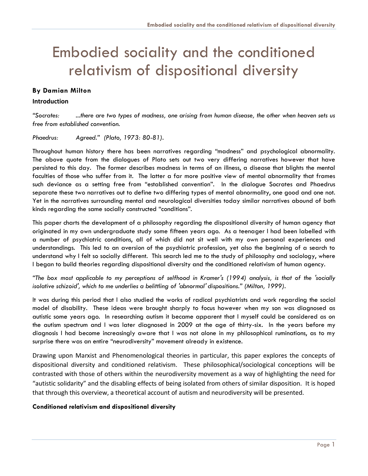# Embodied sociality and the conditioned relativism of dispositional diversity

#### **By Damian Milton**

#### **Introduction**

*"Socrates: ...there are two types of madness, one arising from human disease, the other when heaven sets us free from established convention.*

*Phaedrus: Agreed." (Plato, 1973: 80-81).*

Throughout human history there has been narratives regarding "madness" and psychological abnormality. The above quote from the dialogues of Plato sets out two very differing narratives however that have persisted to this day. The former describes madness in terms of an illness, a disease that blights the mental faculties of those who suffer from it. The latter a far more positive view of mental abnormality that frames such deviance as a setting free from "established convention". In the dialogue Socrates and Phaedrus separate these two narratives out to define two differing types of mental abnormality, one good and one not. Yet in the narratives surrounding mental and neurological diversities today similar narratives abound of both kinds regarding the same socially constructed "conditions".

This paper charts the development of a philosophy regarding the dispositional diversity of human agency that originated in my own undergraduate study some fifteen years ago. As a teenager I had been labelled with a number of psychiatric conditions, all of which did not sit well with my own personal experiences and understandings. This led to an aversion of the psychiatric profession, yet also the beginning of a search to understand why I felt so socially different. This search led me to the study of philosophy and sociology, where I began to build theories regarding dispositional diversity and the conditioned relativism of human agency.

*"The box most applicable to my perceptions of selfhood in Kramer's (1994) analysis, is that of the 'socially isolative schizoid', which to me underlies a belittling of 'abnormal' dispositions." (Milton, 1999).*

It was during this period that I also studied the works of radical psychiatrists and work regarding the social model of disability. These ideas were brought sharply to focus however when my son was diagnosed as autistic some years ago. In researching autism it became apparent that I myself could be considered as on the autism spectrum and I was later diagnosed in 2009 at the age of thirty-six. In the years before my diagnosis I had become increasingly aware that I was not alone in my philosophical ruminations, as to my surprise there was an entire "neurodiversity" movement already in existence.

Drawing upon Marxist and Phenomenological theories in particular, this paper explores the concepts of dispositional diversity and conditioned relativism. These philosophical/sociological conceptions will be contrasted with those of others within the neurodiversity movement as a way of highlighting the need for "autistic solidarity" and the disabling effects of being isolated from others of similar disposition. It is hoped that through this overview, a theoretical account of autism and neurodiversity will be presented.

#### **Conditioned relativism and dispositional diversity**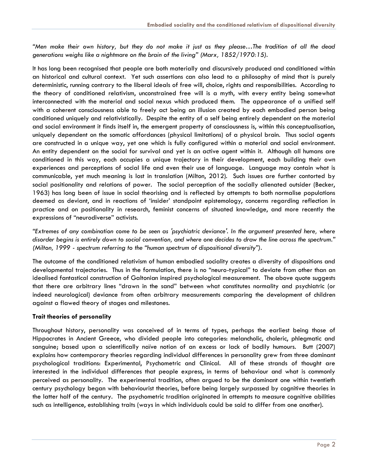*"Men make their own history, but they do not make it just as they please…The tradition of all the dead generations weighs like a nightmare on the brain of the living" (Marx, 1852/1970:15).*

It has long been recognised that people are both materially and discursively produced and conditioned within an historical and cultural context. Yet such assertions can also lead to a philosophy of mind that is purely deterministic, running contrary to the liberal ideals of free will, choice, rights and responsibilities. According to the theory of conditioned relativism, unconstrained free will is a myth, with every entity being somewhat interconnected with the material and social nexus which produced them. The appearance of a unified self with a coherent consciousness able to freely act being an illusion created by each embodied person being conditioned uniquely and relativistically. Despite the entity of a self being entirely dependent on the material and social environment it finds itself in, the emergent property of consciousness is, within this conceptualisation, uniquely dependent on the somatic affordances (physical limitations) of a physical brain. Thus social agents are constructed in a unique way, yet one which is fully configured within a material and social environment. An entity dependent on the social for survival and yet is an active agent within it. Although all humans are conditioned in this way, each occupies a unique trajectory in their development, each building their own experiences and perceptions of social life and even their use of language. Language may contain what is communicable, yet much meaning is lost in translation (Milton, 2012). Such issues are further contorted by social positionality and relations of power. The social perception of the socially alienated outsider (Becker, 1963) has long been of issue in social theorising and is reflected by attempts to both normalise populations deemed as deviant, and in reactions of 'insider' standpoint epistemology, concerns regarding reflection in practice and on positionality in research, feminist concerns of situated knowledge, and more recently the expressions of "neurodiverse" activists.

*"Extremes of any combination come to be seen as 'psychiatric deviance'. In the argument presented here, where disorder begins is entirely down to social convention, and where one decides to draw the line across the spectrum." (Milton, 1999 - spectrum referring to the "human spectrum of dispositional diversity").*

The outcome of the conditioned relativism of human embodied sociality creates a diversity of dispositions and developmental trajectories. Thus in the formulation, there is no "neuro-typical" to deviate from other than an idealised fantastical construction of Galtonian inspired psychological measurement. The above quote suggests that there are arbitrary lines "drawn in the sand" between what constitutes normality and psychiatric (or indeed neurological) deviance from often arbitrary measurements comparing the development of children against a flawed theory of stages and milestones.

#### **Trait theories of personality**

Throughout history, personality was conceived of in terms of types, perhaps the earliest being those of Hippocrates in Ancient Greece, who divided people into categories: melancholic, choleric, phlegmatic and sanguine; based upon a scientifically naïve notion of an excess or lack of bodily humours. Butt (2007) explains how contemporary theories regarding individual differences in personality grew from three dominant psychological traditions: Experimental, Psychometric and Clinical. All of these strands of thought are interested in the individual differences that people express, in terms of behaviour and what is commonly perceived as personality. The experimental tradition, often argued to be the dominant one within twentieth century psychology began with behaviourist theories, before being largely surpassed by cognitive theories in the latter half of the century. The psychometric tradition originated in attempts to measure cognitive abilities such as intelligence, establishing traits (ways in which individuals could be said to differ from one another).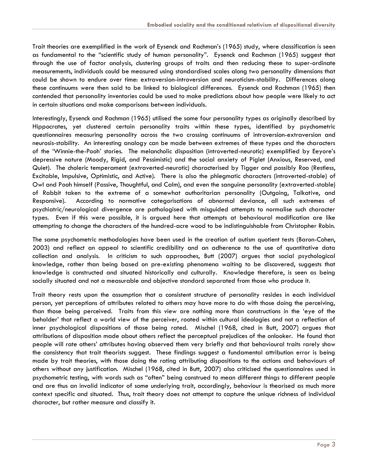Trait theories are exemplified in the work of Eysenck and Rachman's (1965) study, where classification is seen as fundamental to the "scientific study of human personality". Eysenck and Rachman (1965) suggest that through the use of factor analysis, clustering groups of traits and then reducing these to super-ordinate measurements, individuals could be measured using standardised scales along two personality dimensions that could be shown to endure over time: extraversion-introversion and neuroticism-stability. Differences along these continuums were then said to be linked to biological differences. Eysenck and Rachman (1965) then contended that personality inventories could be used to make predictions about how people were likely to act in certain situations and make comparisons between individuals.

Interestingly, Eysenck and Rachman (1965) utilised the same four personality types as originally described by Hippocrates, yet clustered certain personality traits within these types, identified by psychometric questionnaires measuring personality across the two crossing continuums of introversion-extraversion and neurosis-stability. An interesting analogy can be made between extremes of these types and the characters of the 'Winnie-the-Pooh' stories. The melancholic disposition (introverted-neurotic) exemplified by Eeyore's depressive nature (Moody, Rigid, and Pessimistic) and the social anxiety of Piglet (Anxious, Reserved, and Quiet). The choleric temperament (extraverted-neurotic) characterised by Tigger and possibly Roo (Restless, Excitable, Impulsive, Optimistic, and Active). There is also the phlegmatic characters (introverted-stable) of Owl and Pooh himself (Passive, Thoughtful, and Calm), and even the sanguine personality (extraverted-stable) of Rabbit taken to the extreme of a somewhat authoritarian personality (Outgoing, Talkative, and Responsive). According to normative categorisations of abnormal deviance, all such extremes of psychiatric/neurological divergence are pathologised with misguided attempts to normalise such character types. Even if this were possible, it is argued here that attempts at behavioural modification are like attempting to change the characters of the hundred-acre wood to be indistinguishable from Christopher Robin.

The same psychometric methodologies have been used in the creation of autism quotient tests (Baron-Cohen, 2003) and reflect an appeal to scientific credibility and an adherence to the use of quantitative data collection and analysis. In criticism to such approaches, Butt (2007) argues that social psychological knowledge, rather than being based on pre-existing phenomena waiting to be discovered, suggests that knowledge is constructed and situated historically and culturally. Knowledge therefore, is seen as being socially situated and not a measurable and objective standard separated from those who produce it.

Trait theory rests upon the assumption that a consistent structure of personality resides in each individual person, yet perceptions of attributes related to others may have more to do with those doing the perceiving, than those being perceived. Traits from this view are nothing more than constructions in the 'eye of the beholder' that reflect a world view of the perceiver, rooted within cultural ideologies and not a reflection of inner psychological dispositions of those being rated. Mischel (1968, cited in Butt, 2007) argues that attributions of disposition made about others reflect the perceptual prejudices of the onlooker. He found that people will rate others' attributes having observed them very briefly and that behavioural traits rarely show the consistency that trait theorists suggest. These findings suggest a fundamental attribution error is being made by trait theories, with those doing the rating attributing dispositions to the actions and behaviours of others without any justification. Mischel (1968, cited in Butt, 2007) also criticised the questionnaires used in psychometric testing, with words such as "often" being construed to mean different things to different people and are thus an invalid indicator of some underlying trait, accordingly, behaviour is theorised as much more context specific and situated. Thus, trait theory does not attempt to capture the unique richness of individual character, but rather measure and classify it.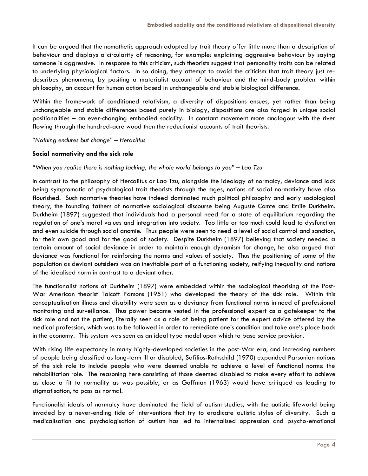It can be argued that the nomothetic approach adopted by trait theory offer little more than a description of behaviour and displays a circularity of reasoning, for example: explaining aggressive behaviour by saying someone is aggressive. In response to this criticism, such theorists suggest that personality traits can be related to underlying physiological factors. In so doing, they attempt to avoid the criticism that trait theory just redescribes phenomena, by positing a materialist account of behaviour and the mind-body problem within philosophy, an account for human action based in unchangeable and stable biological difference.

Within the framework of conditioned relativism, a diversity of dispositions ensues, yet rather than being unchangeable and stable differences based purely in biology, dispositions are also forged in unique social positionalities – an ever-changing embodied sociality. In constant movement more analogous with the river flowing through the hundred-acre wood then the reductionist accounts of trait theorists.

*"Nothing endures but change" – Heraclitus* 

#### **Social normativity and the sick role**

#### *"When you realise there is nothing lacking, the whole world belongs to you" – Lao Tzu*

In contrast to the philosophy of Hercalitus or Lao Tzu, alongside the ideology of normalcy, deviance and lack being symptomatic of psychological trait theorists through the ages, notions of social normativity have also flourished. Such normative theories have indeed dominated much political philosophy and early sociological theory, the founding fathers of normative sociological discourse being Auguste Comte and Emile Durkheim. Durkheim (1897) suggested that individuals had a personal need for a state of equilibrium regarding the regulation of one's moral values and integration into society. Too little or too much could lead to dysfunction and even suicide through social anomie. Thus people were seen to need a level of social control and sanction, for their own good and for the good of society. Despite Durkheim (1897) believing that society needed a certain amount of social deviance in order to maintain enough dynamism for change, he also argued that deviance was functional for reinforcing the norms and values of society. Thus the positioning of some of the population as deviant outsiders was an inevitable part of a functioning society, reifying inequality and notions of the idealised norm in contrast to a deviant other.

The functionalist notions of Durkheim (1897) were embedded within the sociological theorising of the Post-War American theorist Talcott Parsons (1951) who developed the theory of the sick role. Within this conceptualisation illness and disability were seen as a deviancy from functional norms in need of professional monitoring and surveillance. Thus power became vested in the professional expert as a gatekeeper to the sick role and not the patient, literally seen as a role of being patient for the expert advice offered by the medical profession, which was to be followed in order to remediate one's condition and take one's place back in the economy. This system was seen as an ideal type model upon which to base service provision.

With rising life expectancy in many highly-developed societies in the post-War era, and increasing numbers of people being classified as long-term ill or disabled, Safilios-Rothschild (1970) expanded Parsonian notions of the sick role to include people who were deemed unable to achieve a level of functional norms: the rehabilitation role. The reasoning here consisting of those deemed disabled to make every effort to achieve as close a fit to normality as was possible, or as Goffman (1963) would have critiqued as leading to stigmatisation, to pass as normal.

Functionalist ideals of normalcy have dominated the field of autism studies, with the autistic lifeworld being invaded by a never-ending tide of interventions that try to eradicate autistic styles of diversity. Such a medicalisation and psychologisation of autism has led to internalised oppression and psycho-emotional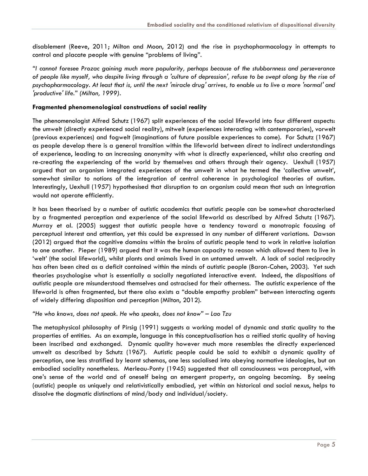disablement (Reeve, 2011; Milton and Moon, 2012) and the rise in psychopharmacology in attempts to control and placate people with genuine "problems of living".

*"I cannot foresee Prozac gaining much more popularity, perhaps because of the stubbornness and perseverance of people like myself, who despite living through a 'culture of depression', refuse to be swept along by the rise of psychopharmacology. At least that is, until the next 'miracle drug' arrives, to enable us to live a more 'normal' and 'productive' life." (Milton, 1999).*

#### **Fragmented phenomenological constructions of social reality**

The phenomenologist Alfred Schutz (1967) split experiences of the social lifeworld into four different aspects: the umwelt (directly experienced social reality), mitwelt (experiences interacting with contemporaries), vorwelt (previous experiences) and fogwelt (imaginations of future possible experiences to come). For Schutz (1967) as people develop there is a general transition within the lifeworld between direct to indirect understandings of experience, leading to an increasing anonymity with what is directly experienced, whilst also creating and re-creating the experiencing of the world by themselves and others through their agency. Uexhull (1957) argued that an organism integrated experiences of the umwelt in what he termed the 'collective umwelt', somewhat similar to notions of the integration of central coherence in psychological theories of autism. Interestingly, Uexhull (1957) hypothesised that disruption to an organism could mean that such an integration would not operate efficiently.

It has been theorised by a number of autistic academics that autistic people can be somewhat characterised by a fragmented perception and experience of the social lifeworld as described by Alfred Schutz (1967). Murray et al. (2005) suggest that autistic people have a tendency toward a monotropic focusing of perceptual interest and attention, yet this could be expressed in any number of different variations. Dawson (2012) argued that the cognitive domains within the brains of autistic people tend to work in relative isolation to one another. Pieper (1989) argued that it was the human capacity to reason which allowed them to live in 'welt' (the social lifeworld), whilst plants and animals lived in an untamed umwelt. A lack of social reciprocity has often been cited as a deficit contained within the minds of autistic people (Baron-Cohen, 2003). Yet such theories psychologise what is essentially a socially negotiated interactive event. Indeed, the dispositions of autistic people are misunderstood themselves and ostracised for their otherness. The autistic experience of the lifeworld is often fragmented, but there also exists a "double empathy problem" between interacting agents of widely differing disposition and perception (Milton, 2012).

*"He who knows, does not speak. He who speaks, does not know" – Lao Tzu* 

The metaphysical philosophy of Pirsig (1991) suggests a working model of dynamic and static quality to the properties of entities. As an example, language in this conceptualisation has a reified static quality of having been inscribed and exchanged. Dynamic quality however much more resembles the directly experienced umwelt as described by Schutz (1967). Autistic people could be said to exhibit a dynamic quality of perception, one less stratified by learnt schemas, one less socialised into obeying normative ideologies, but an embodied sociality nonetheless. Merleau-Ponty (1945) suggested that all consciousness was perceptual, with one's sense of the world and of oneself being an emergent property, an ongoing becoming. By seeing (autistic) people as uniquely and relativistically embodied, yet within an historical and social nexus, helps to dissolve the dogmatic distinctions of mind/body and individual/society.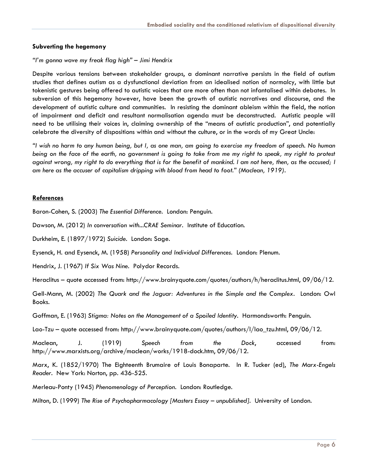#### **Subverting the hegemony**

#### *"I'm gonna wave my freak flag high" – Jimi Hendrix*

Despite various tensions between stakeholder groups, a dominant narrative persists in the field of autism studies that defines autism as a dysfunctional deviation from an idealised notion of normalcy, with little but tokenistic gestures being offered to autistic voices that are more often than not infantalised within debates. In subversion of this hegemony however, have been the growth of autistic narratives and discourse, and the development of autistic culture and communities. In resisting the dominant ableism within the field, the notion of impairment and deficit and resultant normalisation agenda must be deconstructed. Autistic people will need to be utilising their voices in, claiming ownership of the "means of autistic production", and potentially celebrate the diversity of dispositions within and without the culture, or in the words of my Great Uncle:

*"I wish no harm to any human being, but I, as one man, am going to exercise my freedom of speech. No human*  being on the face of the earth, no government is going to take from me my right to speak, my right to protest against wrong, my right to do everything that is for the benefit of mankind. I am not here, then, as the accused; I *am here as the accuser of capitalism dripping with blood from head to foot." (Maclean, 1919).*

#### **References**

Baron-Cohen, S. (2003) *The Essential Difference.* London: Penguin.

Dawson, M. (2012) *In conversation with...CRAE Seminar.* Institute of Education.

Durkheim, E. (1897/1972) *Suicide.* London: Sage.

Eysenck, H. and Eysenck, M. (1958) *Personality and Individual Differences.* London: Plenum.

Hendrix, J. (1967) *If Six Was Nine.* Polydor Records.

Heraclitus – quote accessed from: http://www.brainyquote.com/quotes/authors/h/heraclitus.html, 09/06/12.

Gell-Mann, M. (2002) *The Quark and the Jaguar: Adventures in the Simple and the Complex*. London: Owl Books.

Goffman, E. (1963) *Stigma: Notes on the Management of a Spoiled Identity.* Harmondsworth: Penguin.

Lao-Tzu – quote accessed from: http://www.brainyquote.com/quotes/authors/l/lao\_tzu.html, 09/06/12.

Maclean, J. (1919) *Speech from the Dock*, accessed from: http://www.marxists.org/archive/maclean/works/1918-dock.htm, 09/06/12.

Marx, K. (1852/1970) The Eighteenth Brumaire of Louis Bonaparte. In R. Tucker (ed), *The Marx-Engels Reader.* New York: Norton, pp. 436-525.

Merleau-Ponty (1945) *Phenomenology of Perception*. London: Routledge.

Milton, D. (1999) *The Rise of Psychopharmacology [Masters Essay – unpublished].* University of London.